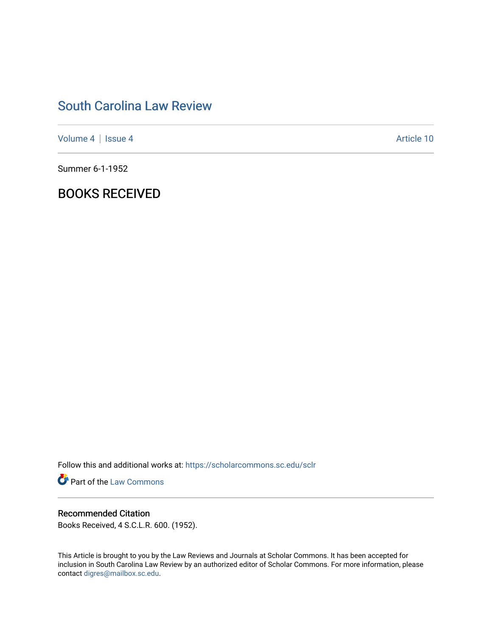# [South Carolina Law Review](https://scholarcommons.sc.edu/sclr)

[Volume 4](https://scholarcommons.sc.edu/sclr/vol4) | [Issue 4](https://scholarcommons.sc.edu/sclr/vol4/iss4) Article 10

Summer 6-1-1952

## BOOKS RECEIVED

Follow this and additional works at: [https://scholarcommons.sc.edu/sclr](https://scholarcommons.sc.edu/sclr?utm_source=scholarcommons.sc.edu%2Fsclr%2Fvol4%2Fiss4%2F10&utm_medium=PDF&utm_campaign=PDFCoverPages)

**Part of the [Law Commons](http://network.bepress.com/hgg/discipline/578?utm_source=scholarcommons.sc.edu%2Fsclr%2Fvol4%2Fiss4%2F10&utm_medium=PDF&utm_campaign=PDFCoverPages)** 

### Recommended Citation

Books Received, 4 S.C.L.R. 600. (1952).

This Article is brought to you by the Law Reviews and Journals at Scholar Commons. It has been accepted for inclusion in South Carolina Law Review by an authorized editor of Scholar Commons. For more information, please contact [digres@mailbox.sc.edu.](mailto:digres@mailbox.sc.edu)